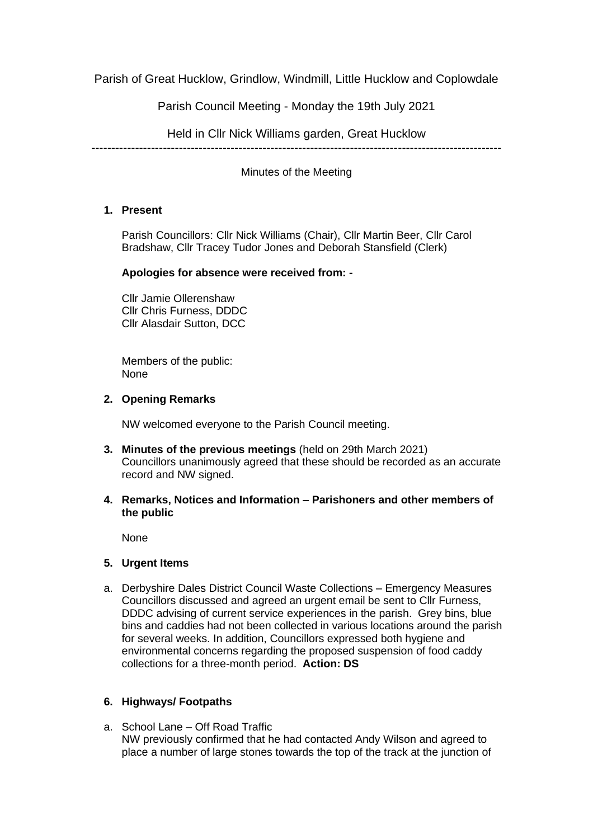Parish of Great Hucklow, Grindlow, Windmill, Little Hucklow and Coplowdale

Parish Council Meeting - Monday the 19th July 2021

Held in Cllr Nick Williams garden, Great Hucklow

-------------------------------------------------------------------------------------------------------

Minutes of the Meeting

# **1. Present**

Parish Councillors: Cllr Nick Williams (Chair), Cllr Martin Beer, Cllr Carol Bradshaw, Cllr Tracey Tudor Jones and Deborah Stansfield (Clerk)

## **Apologies for absence were received from: -**

Cllr Jamie Ollerenshaw Cllr Chris Furness, DDDC Cllr Alasdair Sutton, DCC

Members of the public: None

## **2. Opening Remarks**

NW welcomed everyone to the Parish Council meeting.

- **3. Minutes of the previous meetings** (held on 29th March 2021) Councillors unanimously agreed that these should be recorded as an accurate record and NW signed.
- **4. Remarks, Notices and Information – Parishoners and other members of the public**

None

### **5. Urgent Items**

a. Derbyshire Dales District Council Waste Collections – Emergency Measures Councillors discussed and agreed an urgent email be sent to Cllr Furness, DDDC advising of current service experiences in the parish. Grey bins, blue bins and caddies had not been collected in various locations around the parish for several weeks. In addition, Councillors expressed both hygiene and environmental concerns regarding the proposed suspension of food caddy collections for a three-month period. **Action: DS**

# **6. Highways/ Footpaths**

a. School Lane – Off Road Traffic NW previously confirmed that he had contacted Andy Wilson and agreed to place a number of large stones towards the top of the track at the junction of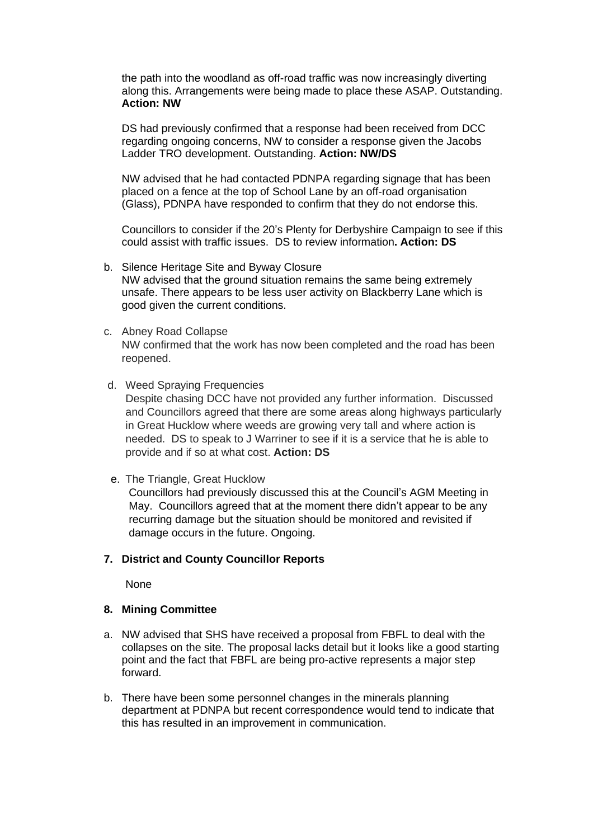the path into the woodland as off-road traffic was now increasingly diverting along this. Arrangements were being made to place these ASAP. Outstanding. **Action: NW**

DS had previously confirmed that a response had been received from DCC regarding ongoing concerns, NW to consider a response given the Jacobs Ladder TRO development. Outstanding. **Action: NW/DS**

NW advised that he had contacted PDNPA regarding signage that has been placed on a fence at the top of School Lane by an off-road organisation (Glass), PDNPA have responded to confirm that they do not endorse this.

Councillors to consider if the 20's Plenty for Derbyshire Campaign to see if this could assist with traffic issues. DS to review information**. Action: DS**

- b. Silence Heritage Site and Byway Closure NW advised that the ground situation remains the same being extremely unsafe. There appears to be less user activity on Blackberry Lane which is good given the current conditions.
- c. Abney Road Collapse NW confirmed that the work has now been completed and the road has been reopened.
- d. Weed Spraying Frequencies Despite chasing DCC have not provided any further information. Discussed and Councillors agreed that there are some areas along highways particularly in Great Hucklow where weeds are growing very tall and where action is needed. DS to speak to J Warriner to see if it is a service that he is able to provide and if so at what cost. **Action: DS**
- e. The Triangle, Great Hucklow

Councillors had previously discussed this at the Council's AGM Meeting in May. Councillors agreed that at the moment there didn't appear to be any recurring damage but the situation should be monitored and revisited if damage occurs in the future. Ongoing.

#### **7. District and County Councillor Reports**

None

### **8. Mining Committee**

- a. NW advised that SHS have received a proposal from FBFL to deal with the collapses on the site. The proposal lacks detail but it looks like a good starting point and the fact that FBFL are being pro-active represents a major step forward.
- b. There have been some personnel changes in the minerals planning department at PDNPA but recent correspondence would tend to indicate that this has resulted in an improvement in communication.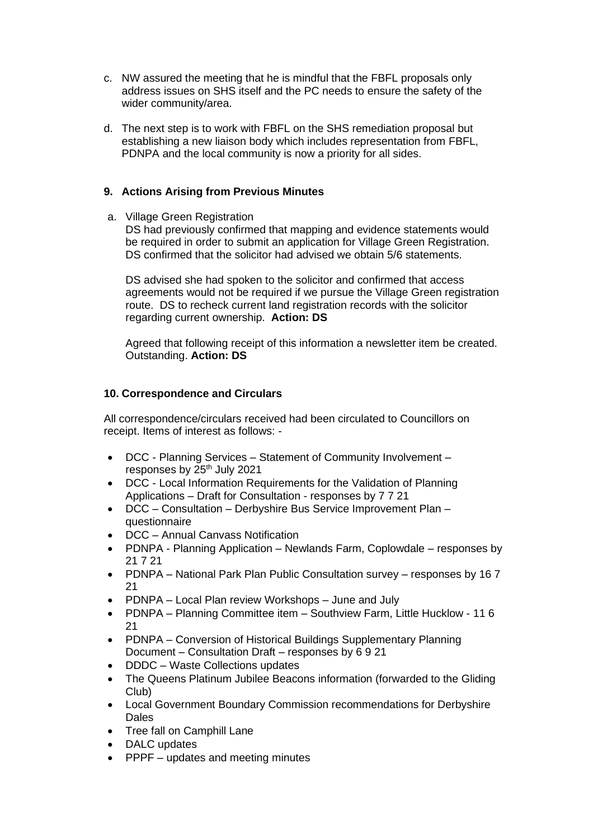- c. NW assured the meeting that he is mindful that the FBFL proposals only address issues on SHS itself and the PC needs to ensure the safety of the wider community/area.
- d. The next step is to work with FBFL on the SHS remediation proposal but establishing a new liaison body which includes representation from FBFL, PDNPA and the local community is now a priority for all sides.

## **9. Actions Arising from Previous Minutes**

a. Village Green Registration

DS had previously confirmed that mapping and evidence statements would be required in order to submit an application for Village Green Registration. DS confirmed that the solicitor had advised we obtain 5/6 statements.

DS advised she had spoken to the solicitor and confirmed that access agreements would not be required if we pursue the Village Green registration route. DS to recheck current land registration records with the solicitor regarding current ownership. **Action: DS**

Agreed that following receipt of this information a newsletter item be created. Outstanding. **Action: DS**

# **10. Correspondence and Circulars**

All correspondence/circulars received had been circulated to Councillors on receipt. Items of interest as follows: -

- DCC Planning Services Statement of Community Involvement responses by 25<sup>th</sup> July 2021
- DCC Local Information Requirements for the Validation of Planning Applications – Draft for Consultation - responses by 7 7 21
- DCC Consultation Derbyshire Bus Service Improvement Plan questionnaire
- DCC Annual Canvass Notification
- PDNPA Planning Application Newlands Farm, Coplowdale responses by 21 7 21
- PDNPA National Park Plan Public Consultation survey responses by 16 7 21
- PDNPA Local Plan review Workshops June and July
- PDNPA Planning Committee item Southview Farm, Little Hucklow 11 6 21
- PDNPA Conversion of Historical Buildings Supplementary Planning Document – Consultation Draft – responses by 6 9 21
- DDDC Waste Collections updates
- The Queens Platinum Jubilee Beacons information (forwarded to the Gliding Club)
- Local Government Boundary Commission recommendations for Derbyshire Dales
- Tree fall on Camphill Lane
- DALC updates
- PPPF updates and meeting minutes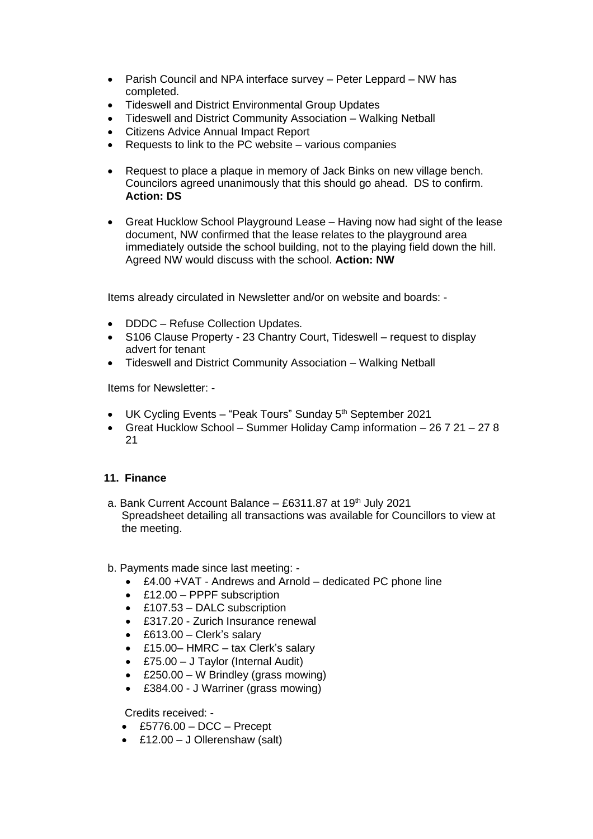- Parish Council and NPA interface survey Peter Leppard NW has completed.
- Tideswell and District Environmental Group Updates
- Tideswell and District Community Association Walking Netball
- Citizens Advice Annual Impact Report
- Requests to link to the PC website various companies
- Request to place a plaque in memory of Jack Binks on new village bench. Councilors agreed unanimously that this should go ahead. DS to confirm. **Action: DS**
- Great Hucklow School Playground Lease Having now had sight of the lease document, NW confirmed that the lease relates to the playground area immediately outside the school building, not to the playing field down the hill. Agreed NW would discuss with the school. **Action: NW**

Items already circulated in Newsletter and/or on website and boards: -

- DDDC Refuse Collection Updates.
- S106 Clause Property 23 Chantry Court, Tideswell request to display advert for tenant
- Tideswell and District Community Association Walking Netball

Items for Newsletter: -

- UK Cycling Events "Peak Tours" Sunday  $5<sup>th</sup>$  September 2021
- Great Hucklow School Summer Holiday Camp information 26 7 21 27 8 21

### **11. Finance**

- a. Bank Current Account Balance  $-$  £6311.87 at 19<sup>th</sup> July 2021 Spreadsheet detailing all transactions was available for Councillors to view at the meeting.
- b. Payments made since last meeting:
	- £4.00 +VAT Andrews and Arnold dedicated PC phone line
	- £12.00 PPPF subscription
	- £107.53 DALC subscription
	- £317.20 Zurich Insurance renewal
	- £613.00 Clerk's salary
	- £15.00- HMRC tax Clerk's salary
	- £75.00 J Taylor (Internal Audit)
	- £250.00 W Brindley (grass mowing)
	- £384.00 J Warriner (grass mowing)

Credits received: -

- $\textdegree$  £5776.00 DCC Precept
- £12.00 J Ollerenshaw (salt)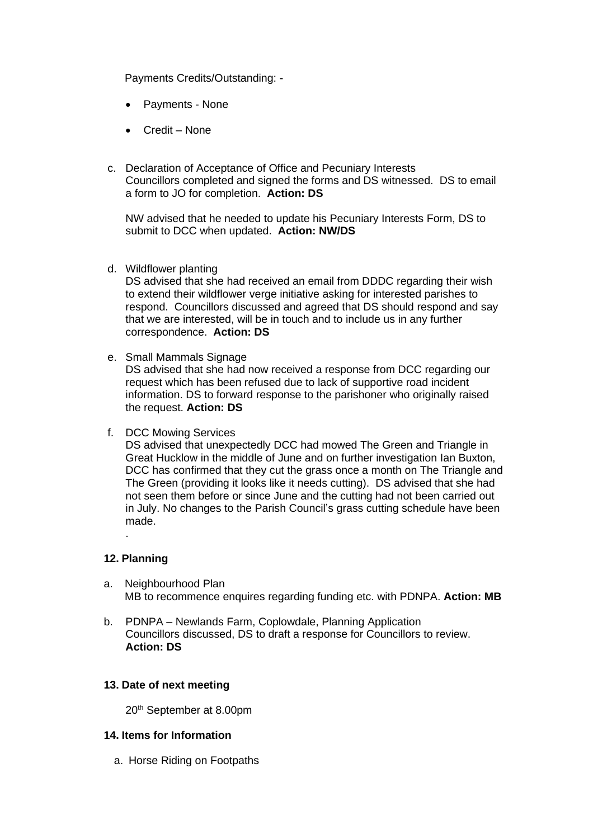Payments Credits/Outstanding: -

- Payments None
- Credit None
- c. Declaration of Acceptance of Office and Pecuniary Interests Councillors completed and signed the forms and DS witnessed. DS to email a form to JO for completion. **Action: DS**

NW advised that he needed to update his Pecuniary Interests Form, DS to submit to DCC when updated. **Action: NW/DS**

d. Wildflower planting

DS advised that she had received an email from DDDC regarding their wish to extend their wildflower verge initiative asking for interested parishes to respond. Councillors discussed and agreed that DS should respond and say that we are interested, will be in touch and to include us in any further correspondence. **Action: DS**

e. Small Mammals Signage

DS advised that she had now received a response from DCC regarding our request which has been refused due to lack of supportive road incident information. DS to forward response to the parishoner who originally raised the request. **Action: DS**

f. DCC Mowing Services

DS advised that unexpectedly DCC had mowed The Green and Triangle in Great Hucklow in the middle of June and on further investigation Ian Buxton, DCC has confirmed that they cut the grass once a month on The Triangle and The Green (providing it looks like it needs cutting). DS advised that she had not seen them before or since June and the cutting had not been carried out in July. No changes to the Parish Council's grass cutting schedule have been made.

### **12. Planning**

.

- a. Neighbourhood Plan MB to recommence enquires regarding funding etc. with PDNPA. **Action: MB**
- b. PDNPA Newlands Farm, Coplowdale, Planning Application Councillors discussed, DS to draft a response for Councillors to review. **Action: DS**

#### **13. Date of next meeting**

20th September at 8.00pm

#### **14. Items for Information**

a. Horse Riding on Footpaths